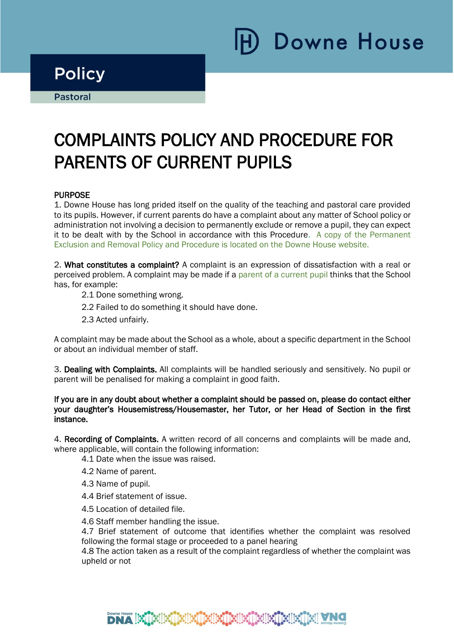# **Downe House**

## **Policy**

**Pastoral** Ī

i

# COMPLAINTS POLICY AND PROCEDURE FOR PARENTS OF CURRENT PUPILS

#### **PURPOSE**

1. Downe House has long prided itself on the quality of the teaching and pastoral care provided to its pupils. However, if current parents do have a complaint about any matter of School policy or administration not involving a decision to permanently exclude or remove a pupil, they can expect it to be dealt with by the School in accordance with this Procedure. A copy of the Permanent Exclusion and Removal Policy and Procedure is located on the Downe House website.

2. What constitutes a complaint? A complaint is an expression of dissatisfaction with a real or perceived problem. A complaint may be made if a parent of a current pupil thinks that the School has, for example:

- 2.1 Done something wrong.
- 2.2 Failed to do something it should have done.
- 2.3 Acted unfairly.

A complaint may be made about the School as a whole, about a specific department in the School or about an individual member of staff.

3. Dealing with Complaints. All complaints will be handled seriously and sensitively. No pupil or parent will be penalised for making a complaint in good faith.

#### If you are in any doubt about whether a complaint should be passed on, please do contact either your daughter's Housemistress/Housemaster, her Tutor, or her Head of Section in the first instance.

4. Recording of Complaints. A written record of all concerns and complaints will be made and, where applicable, will contain the following information:

4.1 Date when the issue was raised.

- 4.2 Name of parent.
- 4.3 Name of pupil.
- 4.4 Brief statement of issue.
- 4.5 Location of detailed file.

4.6 Staff member handling the issue.

4.7 Brief statement of outcome that identifies whether the complaint was resolved following the formal stage or proceeded to a panel hearing

4.8 The action taken as a result of the complaint regardless of whether the complaint was upheld or not

### DNA ISTRIISTEIKTEIKTEIKTEIKTEIK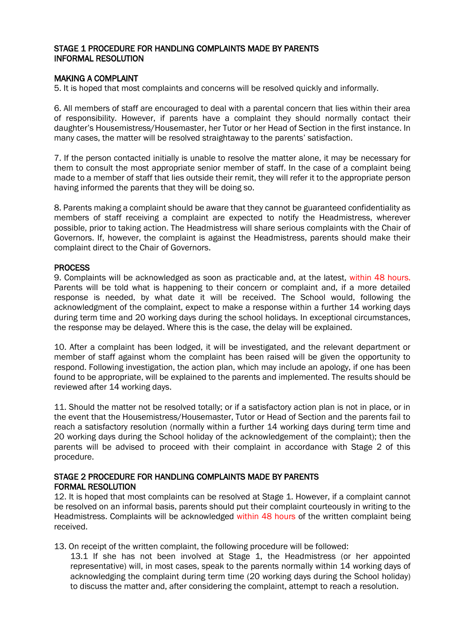#### STAGE 1 PROCEDURE FOR HANDLING COMPLAINTS MADE BY PARENTS INFORMAL RESOLUTION

#### MAKING A COMPLAINT

5. It is hoped that most complaints and concerns will be resolved quickly and informally.

6. All members of staff are encouraged to deal with a parental concern that lies within their area of responsibility. However, if parents have a complaint they should normally contact their daughter's Housemistress/Housemaster, her Tutor or her Head of Section in the first instance. In many cases, the matter will be resolved straightaway to the parents' satisfaction.

7. If the person contacted initially is unable to resolve the matter alone, it may be necessary for them to consult the most appropriate senior member of staff. In the case of a complaint being made to a member of staff that lies outside their remit, they will refer it to the appropriate person having informed the parents that they will be doing so.

8. Parents making a complaint should be aware that they cannot be guaranteed confidentiality as members of staff receiving a complaint are expected to notify the Headmistress, wherever possible, prior to taking action. The Headmistress will share serious complaints with the Chair of Governors. If, however, the complaint is against the Headmistress, parents should make their complaint direct to the Chair of Governors.

#### PROCESS

9. Complaints will be acknowledged as soon as practicable and, at the latest, within 48 hours. Parents will be told what is happening to their concern or complaint and, if a more detailed response is needed, by what date it will be received. The School would, following the acknowledgment of the complaint, expect to make a response within a further 14 working days during term time and 20 working days during the school holidays. In exceptional circumstances, the response may be delayed. Where this is the case, the delay will be explained.

10. After a complaint has been lodged, it will be investigated, and the relevant department or member of staff against whom the complaint has been raised will be given the opportunity to respond. Following investigation, the action plan, which may include an apology, if one has been found to be appropriate, will be explained to the parents and implemented. The results should be reviewed after 14 working days.

11. Should the matter not be resolved totally; or if a satisfactory action plan is not in place, or in the event that the Housemistress/Housemaster, Tutor or Head of Section and the parents fail to reach a satisfactory resolution (normally within a further 14 working days during term time and 20 working days during the School holiday of the acknowledgement of the complaint); then the parents will be advised to proceed with their complaint in accordance with Stage 2 of this procedure.

#### STAGE 2 PROCEDURE FOR HANDLING COMPLAINTS MADE BY PARENTS FORMAL RESOLUTION

12. It is hoped that most complaints can be resolved at Stage 1. However, if a complaint cannot be resolved on an informal basis, parents should put their complaint courteously in writing to the Headmistress. Complaints will be acknowledged within 48 hours of the written complaint being received.

13. On receipt of the written complaint, the following procedure will be followed:

13.1 If she has not been involved at Stage 1, the Headmistress (or her appointed representative) will, in most cases, speak to the parents normally within 14 working days of acknowledging the complaint during term time (20 working days during the School holiday) to discuss the matter and, after considering the complaint, attempt to reach a resolution.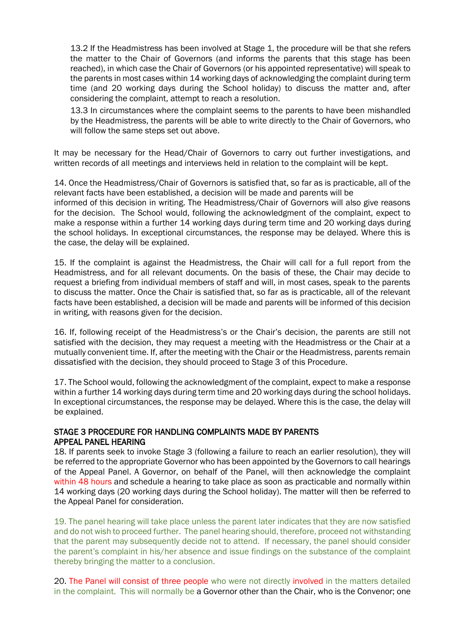13.2 If the Headmistress has been involved at Stage 1, the procedure will be that she refers the matter to the Chair of Governors (and informs the parents that this stage has been reached), in which case the Chair of Governors (or his appointed representative) will speak to the parents in most cases within 14 working days of acknowledging the complaint during term time (and 20 working days during the School holiday) to discuss the matter and, after considering the complaint, attempt to reach a resolution.

13.3 In circumstances where the complaint seems to the parents to have been mishandled by the Headmistress, the parents will be able to write directly to the Chair of Governors, who will follow the same steps set out above.

It may be necessary for the Head/Chair of Governors to carry out further investigations, and written records of all meetings and interviews held in relation to the complaint will be kept.

14. Once the Headmistress/Chair of Governors is satisfied that, so far as is practicable, all of the relevant facts have been established, a decision will be made and parents will be informed of this decision in writing. The Headmistress/Chair of Governors will also give reasons for the decision. The School would, following the acknowledgment of the complaint, expect to make a response within a further 14 working days during term time and 20 working days during the school holidays. In exceptional circumstances, the response may be delayed. Where this is the case, the delay will be explained.

15. If the complaint is against the Headmistress, the Chair will call for a full report from the Headmistress, and for all relevant documents. On the basis of these, the Chair may decide to request a briefing from individual members of staff and will, in most cases, speak to the parents to discuss the matter. Once the Chair is satisfied that, so far as is practicable, all of the relevant facts have been established, a decision will be made and parents will be informed of this decision in writing, with reasons given for the decision.

16. If, following receipt of the Headmistress's or the Chair's decision, the parents are still not satisfied with the decision, they may request a meeting with the Headmistress or the Chair at a mutually convenient time. If, after the meeting with the Chair or the Headmistress, parents remain dissatisfied with the decision, they should proceed to Stage 3 of this Procedure.

17. The School would, following the acknowledgment of the complaint, expect to make a response within a further 14 working days during term time and 20 working days during the school holidays. In exceptional circumstances, the response may be delayed. Where this is the case, the delay will be explained.

#### STAGE 3 PROCEDURE FOR HANDLING COMPLAINTS MADE BY PARENTS APPEAL PANEL HEARING

18. If parents seek to invoke Stage 3 (following a failure to reach an earlier resolution), they will be referred to the appropriate Governor who has been appointed by the Governors to call hearings of the Appeal Panel. A Governor, on behalf of the Panel, will then acknowledge the complaint within 48 hours and schedule a hearing to take place as soon as practicable and normally within 14 working days (20 working days during the School holiday). The matter will then be referred to the Appeal Panel for consideration.

19. The panel hearing will take place unless the parent later indicates that they are now satisfied and do not wish to proceed further. The panel hearing should, therefore, proceed not withstanding that the parent may subsequently decide not to attend. If necessary, the panel should consider the parent's complaint in his/her absence and issue findings on the substance of the complaint thereby bringing the matter to a conclusion.

20. The Panel will consist of three people who were not directly involved in the matters detailed in the complaint. This will normally be a Governor other than the Chair, who is the Convenor; one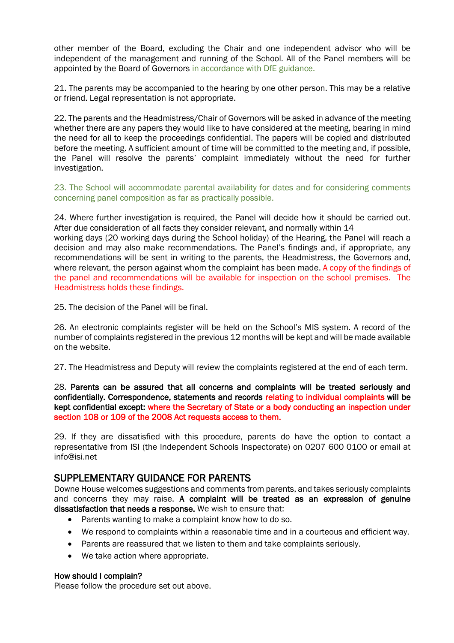other member of the Board, excluding the Chair and one independent advisor who will be independent of the management and running of the School. All of the Panel members will be appointed by the Board of Governors in accordance with DfE guidance.

21. The parents may be accompanied to the hearing by one other person. This may be a relative or friend. Legal representation is not appropriate.

22. The parents and the Headmistress/Chair of Governors will be asked in advance of the meeting whether there are any papers they would like to have considered at the meeting, bearing in mind the need for all to keep the proceedings confidential. The papers will be copied and distributed before the meeting. A sufficient amount of time will be committed to the meeting and, if possible, the Panel will resolve the parents' complaint immediately without the need for further investigation.

23. The School will accommodate parental availability for dates and for considering comments concerning panel composition as far as practically possible.

24. Where further investigation is required, the Panel will decide how it should be carried out. After due consideration of all facts they consider relevant, and normally within 14 working days (20 working days during the School holiday) of the Hearing, the Panel will reach a decision and may also make recommendations. The Panel's findings and, if appropriate, any recommendations will be sent in writing to the parents, the Headmistress, the Governors and, where relevant, the person against whom the complaint has been made. A copy of the findings of the panel and recommendations will be available for inspection on the school premises. The Headmistress holds these findings.

25. The decision of the Panel will be final.

26. An electronic complaints register will be held on the School's MIS system. A record of the number of complaints registered in the previous 12 months will be kept and will be made available on the website.

27. The Headmistress and Deputy will review the complaints registered at the end of each term.

28. Parents can be assured that all concerns and complaints will be treated seriously and confidentially. Correspondence, statements and records relating to individual complaints will be kept confidential except: where the Secretary of State or a body conducting an inspection under section 108 or 109 of the 2008 Act requests access to them.

29. If they are dissatisfied with this procedure, parents do have the option to contact a representative from ISI (the Independent Schools Inspectorate) on 0207 600 0100 or email at info@isi.net

#### SUPPLEMENTARY GUIDANCE FOR PARENTS

Downe House welcomes suggestions and comments from parents, and takes seriously complaints and concerns they may raise. A complaint will be treated as an expression of genuine dissatisfaction that needs a response. We wish to ensure that:

- Parents wanting to make a complaint know how to do so.
- We respond to complaints within a reasonable time and in a courteous and efficient way.
- Parents are reassured that we listen to them and take complaints seriously.
- We take action where appropriate.

#### How should I complain?

Please follow the procedure set out above.